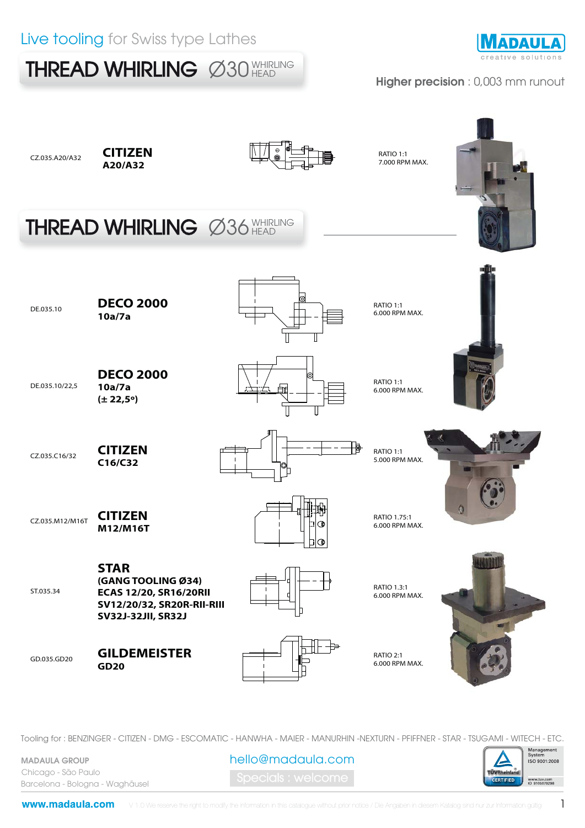### Live tooling for Swiss type Lathes

THREAD WHIRLING Ø30 WHIRLING



#### Higher precision : 0,003 mm runout



Tooling for : BENZINGER - CITIZEN - DMG - ESCOMATIC - HANWHA - MAIER - MANURHIN -NEXTURN - PFIFFNER - STAR - TSUGAMI - WITECH - ETC.

MADAULA GROUP Chicago - São Paulo Barcelona - Bologna - Waghäusel hello@madaula.com

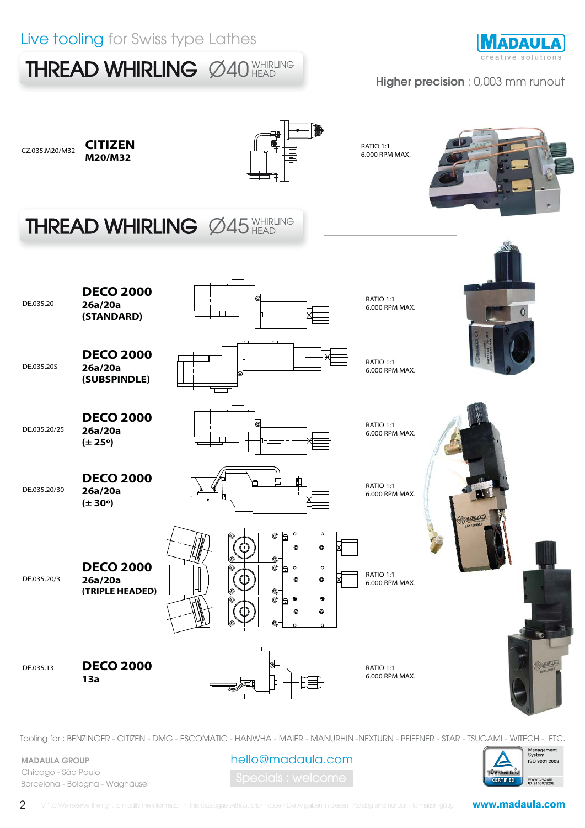## Live tooling for Swiss type Lathes





#### Higher precision : 0,003 mm runout



Tooling for : BENZINGER - CITIZEN - DMG - ESCOMATIC - HANWHA - MAIER - MANURHIN -NEXTURN - PFIFFNER - STAR - TSUGAMI - WITECH - ETC.

MADAULA GROUP Chicago - São Paulo Barcelona - Bologna - Waghäusel hello@madaula.com

**ÜVRheinia CERTIFIED** www.tuv.com<br>ID 9105079298

Management<br>System ISO 9001:2008

2

www.madaula.com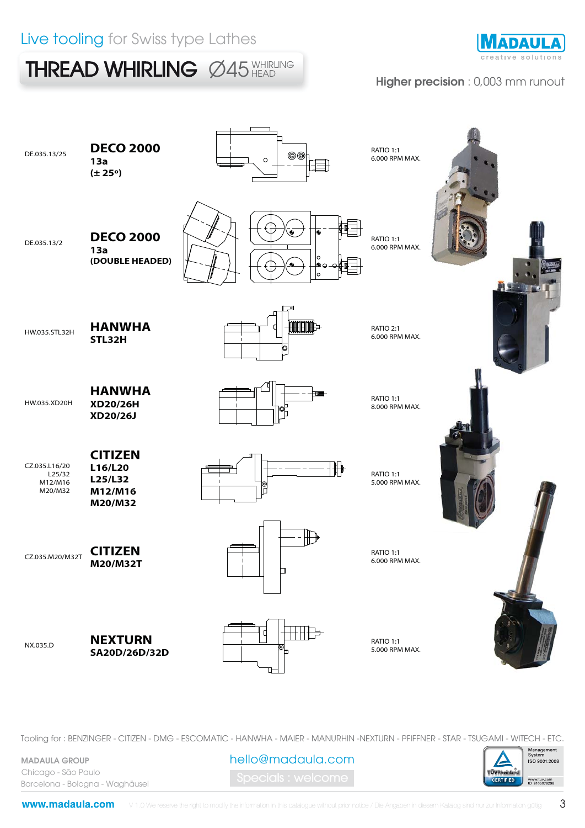THREAD WHIRLING Ø45 WHIRLING



#### Higher precision : 0,003 mm runout

| DE.035.13/25                                  | <b>DECO 2000</b><br>13a<br>$(\pm 25^{\circ})$              | @@<br>$\circ$  | RATIO 1:1<br>6.000 RPM MAX.        |  |
|-----------------------------------------------|------------------------------------------------------------|----------------|------------------------------------|--|
| DE.035.13/2                                   | <b>DECO 2000</b><br>13a<br>(DOUBLE HEADED)                 | ۰              | RATIO 1:1<br>6.000 RPM MAX.        |  |
| HW.035.STL32H                                 | <b>HANWHA</b><br>STL32H                                    | <b>MINIME-</b> | RATIO 2:1<br>6.000 RPM MAX.        |  |
| HW.035.XD20H                                  | <b>HANWHA</b><br>XD20/26H<br>XD20/26J                      |                | RATIO 1:1<br>8.000 RPM MAX.        |  |
| CZ.035.L16/20<br>L25/32<br>M12/M16<br>M20/M32 | <b>CITIZEN</b><br>L16/L20<br>L25/L32<br>M12/M16<br>M20/M32 | ╫╊             | <b>RATIO 1:1</b><br>5.000 RPM MAX. |  |
| CZ.035.M20/M32T                               | <b>CITIZEN</b><br>M20/M32T                                 | □              | <b>RATIO 1:1</b><br>6.000 RPM MAX. |  |
| NX.035.D                                      | <b>NEXTURN</b><br>SA20D/26D/32D                            |                | RATIO 1:1<br>5.000 RPM MAX.        |  |

Tooling for : BENZINGER - CITIZEN - DMG - ESCOMATIC - HANWHA - MAIER - MANURHIN -NEXTURN - PFIFFNER - STAR - TSUGAMI - WITECH - ETC.

MADAULA GROUP Chicago - São Paulo Barcelona - Bologna - Waghäusel

pecials : welcome hello@madaula.com



www.madaula.com